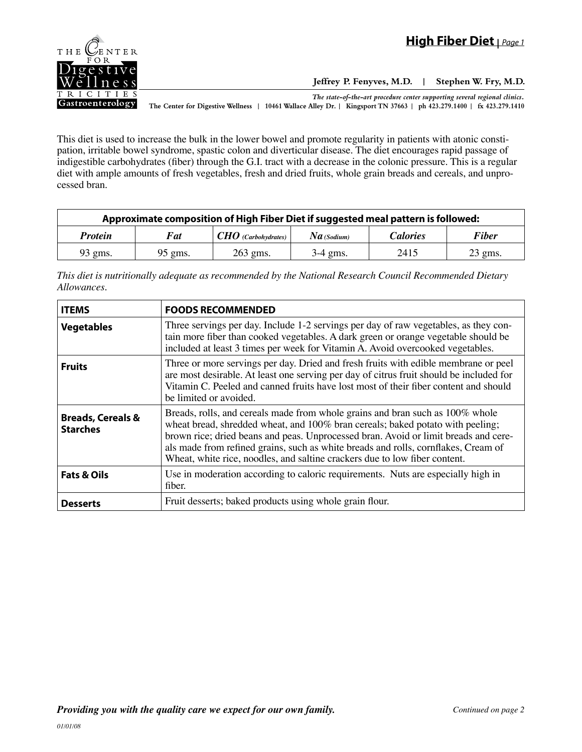

**Jeffrey P. Fenyves, M.D. | Stephen W. Fry, M.D.**

*The state-of-the-art procedure center supporting several regional clinics.* **The Center for Digestive Wellness | 10461 Wallace Alley Dr. | Kingsport TN 37663 | ph 423.279.1400 | fx 423.279.1410**

This diet is used to increase the bulk in the lower bowel and promote regularity in patients with atonic constipation, irritable bowel syndrome, spastic colon and diverticular disease. The diet encourages rapid passage of indigestible carbohydrates (fiber) through the G.I. tract with a decrease in the colonic pressure. This is a regular diet with ample amounts of fresh vegetables, fresh and dried fruits, whole grain breads and cereals, and unprocessed bran.

| Approximate composition of High Fiber Diet if suggested meal pattern is followed: |            |                                                       |                |                 |              |
|-----------------------------------------------------------------------------------|------------|-------------------------------------------------------|----------------|-----------------|--------------|
| <b>Protein</b>                                                                    | <b>Fat</b> | $\pm$ CHO (Carbohydrates) <sup><math>\pm</math></sup> | $N$ a (Sodium) | <i>Calories</i> | <b>Fiber</b> |
| $93$ gms.                                                                         | $95$ gms.  | 263 gms.                                              | $3-4$ gms.     | 2415            | $23$ gms.    |

*This diet is nutritionally adequate as recommended by the National Research Council Recommended Dietary Allowances.*

| <b>ITEMS</b>                                    | <b>FOODS RECOMMENDED</b>                                                                                                                                                                                                                                                                                                                                                                                                   |
|-------------------------------------------------|----------------------------------------------------------------------------------------------------------------------------------------------------------------------------------------------------------------------------------------------------------------------------------------------------------------------------------------------------------------------------------------------------------------------------|
| <b>Vegetables</b>                               | Three servings per day. Include 1-2 servings per day of raw vegetables, as they con-<br>tain more fiber than cooked vegetables. A dark green or orange vegetable should be<br>included at least 3 times per week for Vitamin A. Avoid overcooked vegetables.                                                                                                                                                               |
| <b>Fruits</b>                                   | Three or more servings per day. Dried and fresh fruits with edible membrane or peel<br>are most desirable. At least one serving per day of citrus fruit should be included for<br>Vitamin C. Peeled and canned fruits have lost most of their fiber content and should<br>be limited or avoided.                                                                                                                           |
| <b>Breads, Cereals &amp;</b><br><b>Starches</b> | Breads, rolls, and cereals made from whole grains and bran such as 100% whole<br>wheat bread, shredded wheat, and 100% bran cereals; baked potato with peeling;<br>brown rice; dried beans and peas. Unprocessed bran. Avoid or limit breads and cere-<br>als made from refined grains, such as white breads and rolls, cornflakes, Cream of<br>Wheat, white rice, noodles, and saltine crackers due to low fiber content. |
| <b>Fats &amp; Oils</b>                          | Use in moderation according to caloric requirements. Nuts are especially high in<br>fiber.                                                                                                                                                                                                                                                                                                                                 |
| <b>Desserts</b>                                 | Fruit desserts; baked products using whole grain flour.                                                                                                                                                                                                                                                                                                                                                                    |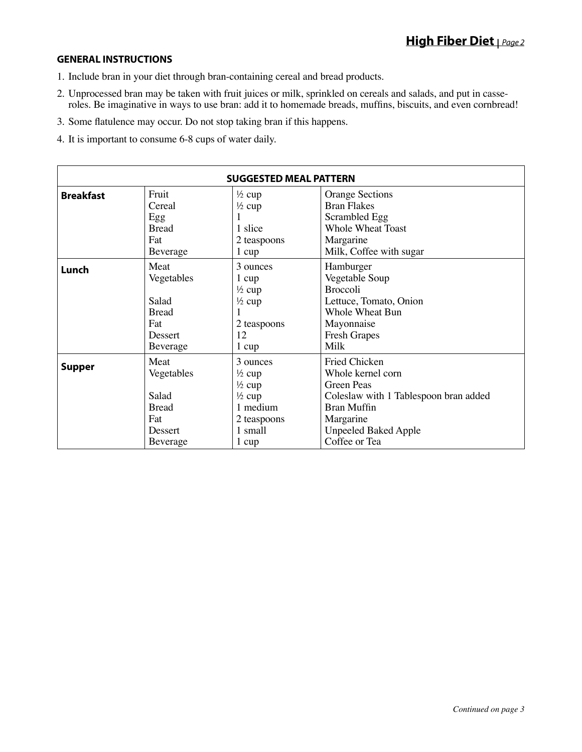## **GENERAL INSTRUCTIONS**

- 1. Include bran in your diet through bran-containing cereal and bread products.
- 2. Unprocessed bran may be taken with fruit juices or milk, sprinkled on cereals and salads, and put in casseroles. Be imaginative in ways to use bran: add it to homemade breads, muffins, biscuits, and even cornbread!
- 3. Some flatulence may occur. Do not stop taking bran if this happens.
- 4. It is important to consume 6-8 cups of water daily.

| <b>SUGGESTED MEAL PATTERN</b> |                                                                           |                                                                                                                        |                                                                                                                                                                                     |  |
|-------------------------------|---------------------------------------------------------------------------|------------------------------------------------------------------------------------------------------------------------|-------------------------------------------------------------------------------------------------------------------------------------------------------------------------------------|--|
| <b>Breakfast</b>              | Fruit<br>Cereal<br>Egg<br><b>Bread</b><br>Fat<br>Beverage                 | $\frac{1}{2}$ cup<br>$\frac{1}{2}$ cup<br>1 slice<br>2 teaspoons<br>1 cup                                              | <b>Orange Sections</b><br><b>Bran Flakes</b><br>Scrambled Egg<br><b>Whole Wheat Toast</b><br>Margarine<br>Milk, Coffee with sugar                                                   |  |
| Lunch                         | Meat<br>Vegetables<br>Salad<br><b>Bread</b><br>Fat<br>Dessert<br>Beverage | 3 ounces<br>1 cup<br>$\frac{1}{2}$ cup<br>$\frac{1}{2}$ cup<br>2 teaspoons<br>12<br>$1 \text{ cup}$                    | Hamburger<br>Vegetable Soup<br><b>Broccoli</b><br>Lettuce, Tomato, Onion<br><b>Whole Wheat Bun</b><br>Mayonnaise<br><b>Fresh Grapes</b><br>Milk                                     |  |
| <b>Supper</b>                 | Meat<br>Vegetables<br>Salad<br><b>Bread</b><br>Fat<br>Dessert<br>Beverage | 3 ounces<br>$\frac{1}{2}$ cup<br>$\frac{1}{2}$ cup<br>$\frac{1}{2}$ cup<br>1 medium<br>2 teaspoons<br>1 small<br>1 cup | Fried Chicken<br>Whole kernel corn<br><b>Green Peas</b><br>Coleslaw with 1 Tablespoon bran added<br><b>Bran Muffin</b><br>Margarine<br><b>Unpeeled Baked Apple</b><br>Coffee or Tea |  |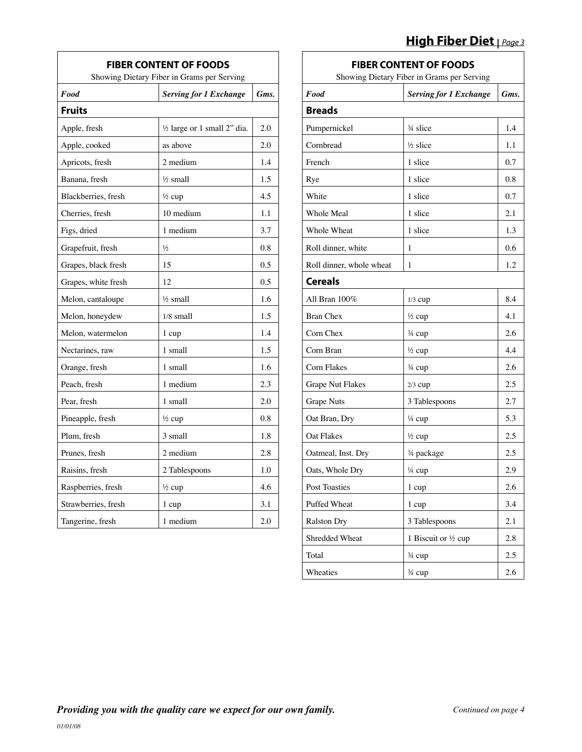## **High Fiber Diet |** *Page 3*

| <b>FIBER CONTENT OF FOODS</b><br>Showing Dietary Fiber in Grams per Serving |                                        |      |  |
|-----------------------------------------------------------------------------|----------------------------------------|------|--|
| Food                                                                        | <b>Serving for 1 Exchange</b>          | Gms. |  |
| <b>Fruits</b>                                                               |                                        |      |  |
| Apple, fresh                                                                | $\frac{1}{2}$ large or 1 small 2" dia. | 2.0  |  |
| Apple, cooked                                                               | as above                               | 2.0  |  |
| Apricots, fresh                                                             | 2 medium                               | 1.4  |  |
| Banana, fresh                                                               | $\frac{1}{2}$ small                    | 1.5  |  |
| Blackberries, fresh                                                         | $\frac{1}{2}$ cup                      | 4.5  |  |
| Cherries, fresh                                                             | 10 medium                              | 1.1  |  |
| Figs, dried                                                                 | 1 medium                               | 3.7  |  |
| Grapefruit, fresh                                                           | $\frac{1}{2}$                          | 0.8  |  |
| Grapes, black fresh                                                         | 15                                     | 0.5  |  |
| Grapes, white fresh                                                         | 12                                     | 0.5  |  |
| Melon, cantaloupe                                                           | $\frac{1}{2}$ small                    | 1.6  |  |
| Melon, honeydew                                                             | $1/8$ small                            | 1.5  |  |
| Melon, watermelon                                                           | 1 cup                                  | 1.4  |  |
| Nectarines, raw                                                             | 1 small                                | 1.5  |  |
| Orange, fresh                                                               | 1 small                                | 1.6  |  |
| Peach, fresh                                                                | 1 medium                               | 2.3  |  |
| Pear, fresh                                                                 | 1 small                                | 2.0  |  |
| Pineapple, fresh                                                            | $\frac{1}{2}$ cup                      | 0.8  |  |
| Plum, fresh                                                                 | 3 small                                | 1.8  |  |
| Prunes, fresh                                                               | 2 medium                               | 2.8  |  |
| Raisins, fresh                                                              | 2 Tablespoons                          | 1.0  |  |
| Raspberries, fresh                                                          | $\frac{1}{2}$ cup                      | 4.6  |  |
| Strawberries, fresh                                                         | 1 cup                                  | 3.1  |  |
| Tangerine, fresh                                                            | 1 medium                               | 2.0  |  |

## **FIBER CONTENT OF FOODS**

| Showing Dietary Fiber in Grams per Serving |                               |      |  |  |
|--------------------------------------------|-------------------------------|------|--|--|
| Food                                       | <b>Serving for 1 Exchange</b> | Gms. |  |  |
| <b>Breads</b>                              |                               |      |  |  |
| Pumpernickel                               | $\frac{3}{4}$ slice           | 1.4  |  |  |
| Cornbread                                  | $\frac{1}{2}$ slice           | 1.1  |  |  |
| French                                     | 1 slice                       | 0.7  |  |  |
| Rye                                        | 1 slice                       | 0.8  |  |  |
| White                                      | 1 slice                       | 0.7  |  |  |
| <b>Whole Meal</b>                          | 1 slice                       | 2.1  |  |  |
| Whole Wheat                                | 1 slice                       | 1.3  |  |  |
| Roll dinner, white                         | 1                             | 0.6  |  |  |
| Roll dinner, whole wheat                   | 1                             | 1.2  |  |  |
| <b>Cereals</b>                             |                               |      |  |  |
| All Bran 100%                              | $1/3$ cup                     | 8.4  |  |  |
| <b>Bran Chex</b>                           | $\frac{1}{2}$ cup             | 4.1  |  |  |
| Corn Chex                                  | $\frac{3}{4}$ cup             | 2.6  |  |  |
| Corn Bran                                  | $\frac{1}{2}$ cup             | 4.4  |  |  |
| Corn Flakes                                | $\frac{3}{4}$ cup             | 2.6  |  |  |
| Grape Nut Flakes                           | $2/3$ cup                     | 2.5  |  |  |
| <b>Grape Nuts</b>                          | 3 Tablespoons                 | 2.7  |  |  |
| Oat Bran, Dry                              | ¼ cup                         | 5.3  |  |  |
| <b>Oat Flakes</b>                          | $\frac{1}{2}$ cup             | 2.5  |  |  |
| Oatmeal, Inst. Dry                         | 34 package                    | 2.5  |  |  |
| Oats, Whole Dry                            | 1/4 cup                       | 2.9  |  |  |
| <b>Post Toasties</b>                       | 1 cup                         | 2.6  |  |  |
| Puffed Wheat                               | 1 cup                         | 3.4  |  |  |
| <b>Ralston Dry</b>                         | 3 Tablespoons                 | 2.1  |  |  |
| Shredded Wheat                             | 1 Biscuit or 1/2 cup          | 2.8  |  |  |
| Total                                      | 3/4 cup                       | 2.5  |  |  |
| Wheaties                                   | 3/4 cup                       | 2.6  |  |  |